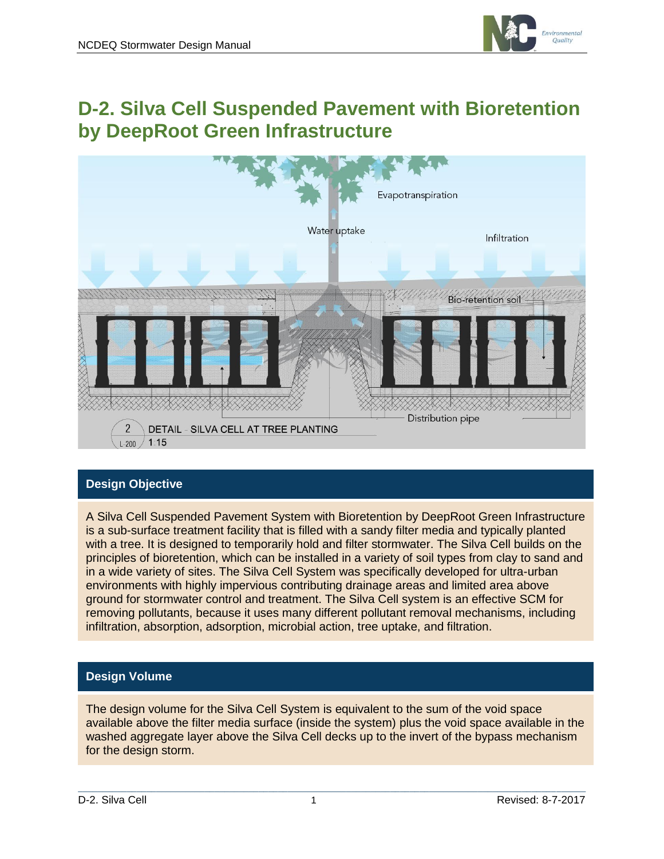

## **D-2. Silva Cell Suspended Pavement with Bioretention by DeepRoot Green Infrastructure**



## **Design Objective**

A Silva Cell Suspended Pavement System with Bioretention by DeepRoot Green Infrastructure is a sub-surface treatment facility that is filled with a sandy filter media and typically planted with a tree. It is designed to temporarily hold and filter stormwater. The Silva Cell builds on the principles of bioretention, which can be installed in a variety of soil types from clay to sand and in a wide variety of sites. The Silva Cell System was specifically developed for ultra-urban environments with highly impervious contributing drainage areas and limited area above ground for stormwater control and treatment. The Silva Cell system is an effective SCM for removing pollutants, because it uses many different pollutant removal mechanisms, including infiltration, absorption, adsorption, microbial action, tree uptake, and filtration.

## **Design Volume**

The design volume for the Silva Cell System is equivalent to the sum of the void space available above the filter media surface (inside the system) plus the void space available in the washed aggregate layer above the Silva Cell decks up to the invert of the bypass mechanism for the design storm.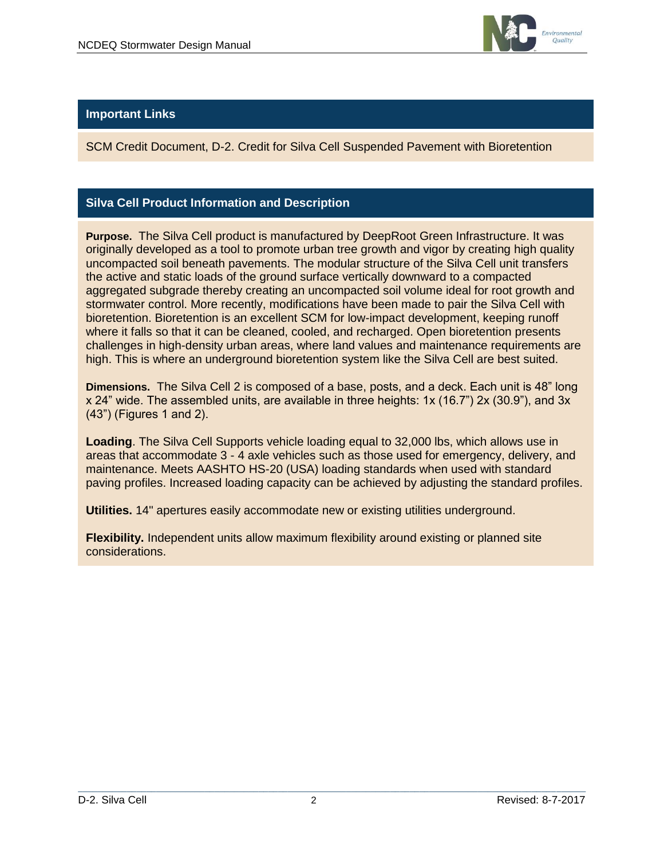

## **Important Links**

SCM Credit Document, D-2. Credit for Silva Cell Suspended Pavement with Bioretention

## **Silva Cell Product Information and Description**

**Purpose.** The Silva Cell product is manufactured by DeepRoot Green Infrastructure. It was originally developed as a tool to promote urban tree growth and vigor by creating high quality uncompacted soil beneath pavements. The modular structure of the Silva Cell unit transfers the active and static loads of the ground surface vertically downward to a compacted aggregated subgrade thereby creating an uncompacted soil volume ideal for root growth and stormwater control. More recently, modifications have been made to pair the Silva Cell with bioretention. Bioretention is an excellent SCM for low-impact development, keeping runoff where it falls so that it can be cleaned, cooled, and recharged. Open bioretention presents challenges in high-density urban areas, where land values and maintenance requirements are high. This is where an underground bioretention system like the Silva Cell are best suited.

**Dimensions.** The Silva Cell 2 is composed of a base, posts, and a deck. Each unit is 48" long x 24" wide. The assembled units, are available in three heights: 1x (16.7") 2x (30.9"), and 3x (43") (Figures 1 and 2).

**Loading**. The Silva Cell Supports vehicle loading equal to 32,000 lbs, which allows use in areas that accommodate 3 - 4 axle vehicles such as those used for emergency, delivery, and maintenance. Meets AASHTO HS-20 (USA) loading standards when used with standard paving profiles. Increased loading capacity can be achieved by adjusting the standard profiles.

**Utilities.** 14" apertures easily accommodate new or existing utilities underground.

**Flexibility.** Independent units allow maximum flexibility around existing or planned site considerations.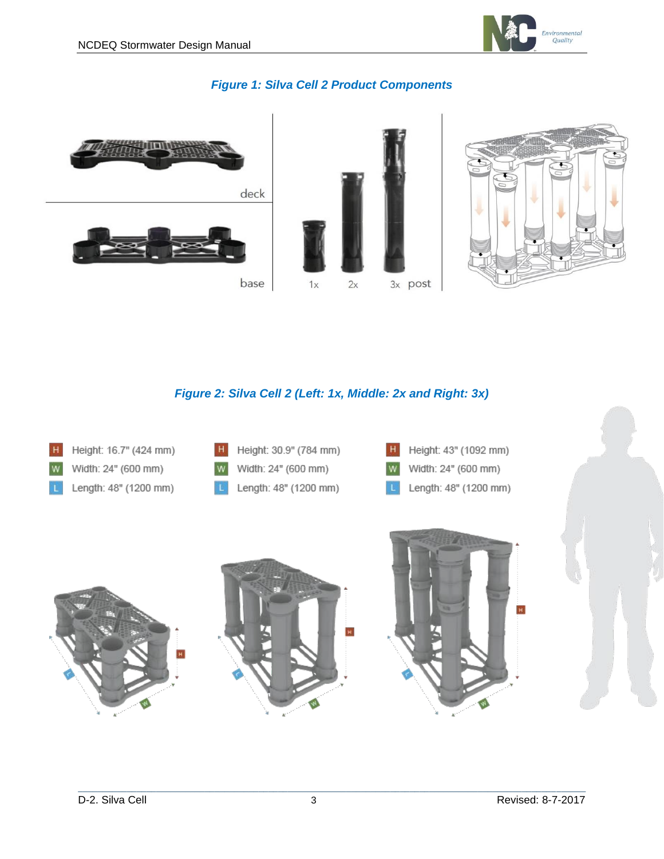

## *Figure 1: Silva Cell 2 Product Components*



## *Figure 2: Silva Cell 2 (Left: 1x, Middle: 2x and Right: 3x)*

| H<br>Height: 16.7" (424 mm)<br>Width: 24" (600 mm)<br>W<br>Length: 48" (1200 mm) | Height: 30.9" (784 mm)<br>H<br>Width: 24" (600 mm)<br>W<br>Length: 48" (1200 mm) | H<br>Height: 43" (1092 mm)<br>Width: 24" (600 mm)<br>W<br>Length: 48" (1200 mm)<br>∣L |  |
|----------------------------------------------------------------------------------|----------------------------------------------------------------------------------|---------------------------------------------------------------------------------------|--|
|                                                                                  |                                                                                  | $\mathbf H$                                                                           |  |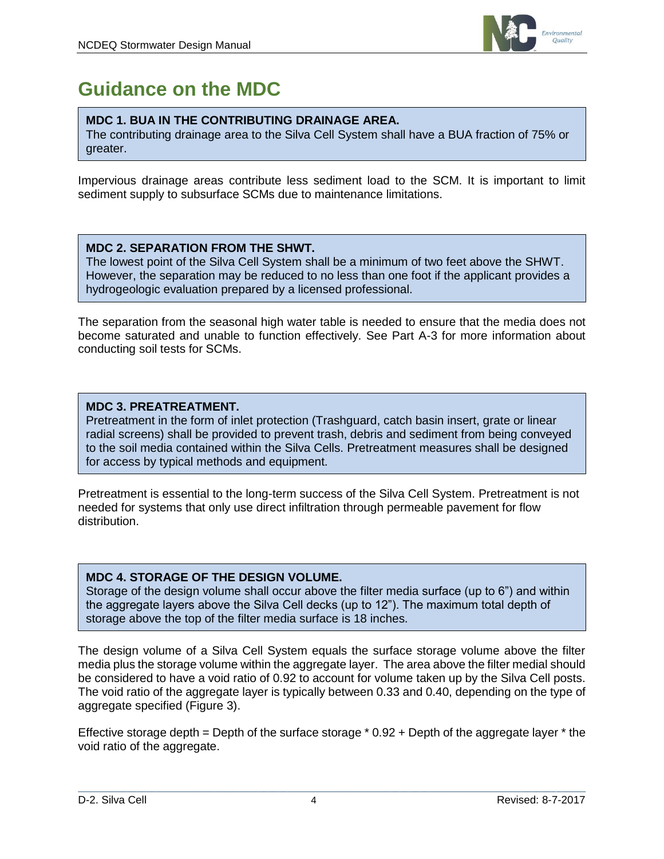

## **Guidance on the MDC**

## **MDC 1. BUA IN THE CONTRIBUTING DRAINAGE AREA.**

The contributing drainage area to the Silva Cell System shall have a BUA fraction of 75% or greater.

Impervious drainage areas contribute less sediment load to the SCM. It is important to limit sediment supply to subsurface SCMs due to maintenance limitations.

## **MDC 2. SEPARATION FROM THE SHWT.**

The lowest point of the Silva Cell System shall be a minimum of two feet above the SHWT. However, the separation may be reduced to no less than one foot if the applicant provides a hydrogeologic evaluation prepared by a licensed professional.

The separation from the seasonal high water table is needed to ensure that the media does not become saturated and unable to function effectively. See Part A-3 for more information about conducting soil tests for SCMs.

## **MDC 3. PREATREATMENT.**

Pretreatment in the form of inlet protection (Trashguard, catch basin insert, grate or linear radial screens) shall be provided to prevent trash, debris and sediment from being conveyed to the soil media contained within the Silva Cells. Pretreatment measures shall be designed for access by typical methods and equipment.

Pretreatment is essential to the long-term success of the Silva Cell System. Pretreatment is not needed for systems that only use direct infiltration through permeable pavement for flow distribution.

## **MDC 4. STORAGE OF THE DESIGN VOLUME.**

Storage of the design volume shall occur above the filter media surface (up to 6") and within the aggregate layers above the Silva Cell decks (up to 12"). The maximum total depth of storage above the top of the filter media surface is 18 inches.

The design volume of a Silva Cell System equals the surface storage volume above the filter media plus the storage volume within the aggregate layer. The area above the filter medial should be considered to have a void ratio of 0.92 to account for volume taken up by the Silva Cell posts. The void ratio of the aggregate layer is typically between 0.33 and 0.40, depending on the type of aggregate specified (Figure 3).

Effective storage depth = Depth of the surface storage  $*$  0.92 + Depth of the aggregate layer  $*$  the void ratio of the aggregate.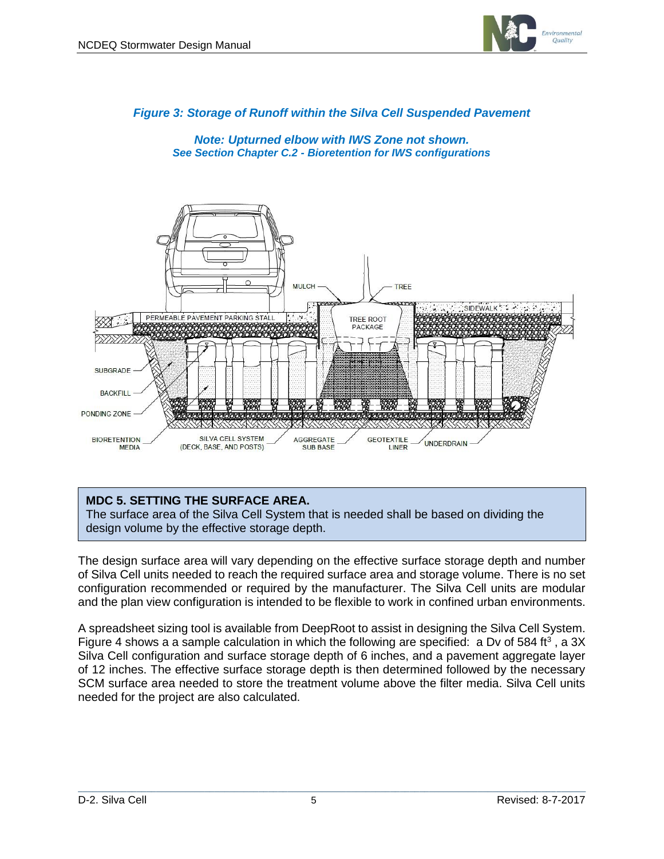

## *Figure 3: Storage of Runoff within the Silva Cell Suspended Pavement*

*Note: Upturned elbow with IWS Zone not shown. See Section Chapter C.2 - Bioretention for IWS configurations*



## **MDC 5. SETTING THE SURFACE AREA.**

The surface area of the Silva Cell System that is needed shall be based on dividing the design volume by the effective storage depth.

The design surface area will vary depending on the effective surface storage depth and number of Silva Cell units needed to reach the required surface area and storage volume. There is no set configuration recommended or required by the manufacturer. The Silva Cell units are modular and the plan view configuration is intended to be flexible to work in confined urban environments.

A spreadsheet sizing tool is available from DeepRoot to assist in designing the Silva Cell System. Figure 4 shows a a sample calculation in which the following are specified: a Dv of 584 ft<sup>3</sup>, a 3X Silva Cell configuration and surface storage depth of 6 inches, and a pavement aggregate layer of 12 inches. The effective surface storage depth is then determined followed by the necessary SCM surface area needed to store the treatment volume above the filter media. Silva Cell units needed for the project are also calculated.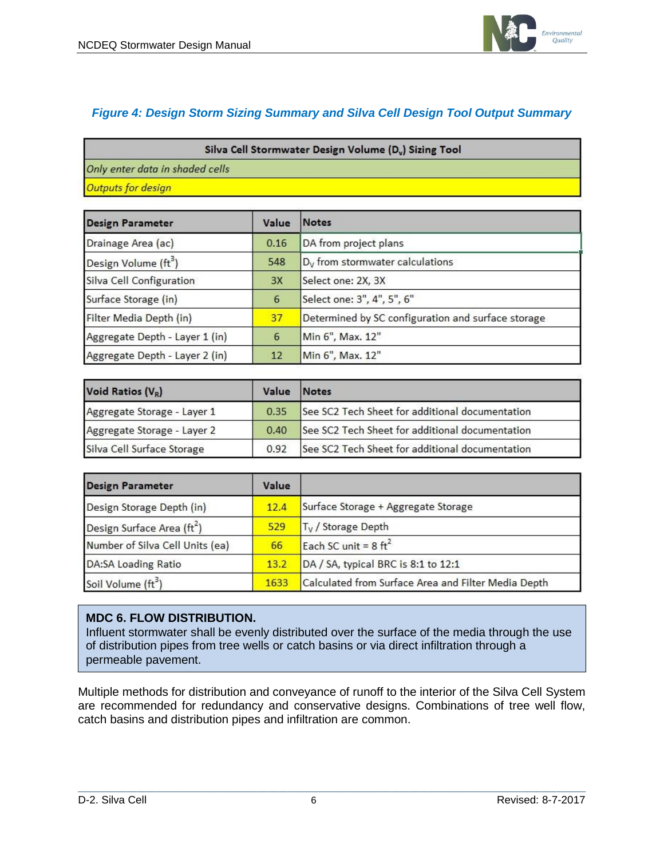

## *Figure 4: Design Storm Sizing Summary and Silva Cell Design Tool Output Summary*

| Silva Cell Stormwater Design Volume (D <sub>v</sub> ) Sizing Tool |  |
|-------------------------------------------------------------------|--|
| Only enter data in shaded cells                                   |  |
| Outputs for design                                                |  |

| <b>Design Parameter</b>          | Value | Notes                                              |
|----------------------------------|-------|----------------------------------------------------|
| Drainage Area (ac)               | 0.16  | DA from project plans                              |
| Design Volume (ft <sup>3</sup> ) | 548   | D <sub>v</sub> from stormwater calculations        |
| Silva Cell Configuration         | 3X    | Select one: 2X, 3X                                 |
| Surface Storage (in)             | 6     | Select one: 3", 4", 5", 6"                         |
| Filter Media Depth (in)          | 37    | Determined by SC configuration and surface storage |
| Aggregate Depth - Layer 1 (in)   | 6     | Min 6", Max. 12"                                   |
| Aggregate Depth - Layer 2 (in)   | 12    | Min 6", Max. 12"                                   |

| Void Ratios (VR)            | Value | Notes                                           |
|-----------------------------|-------|-------------------------------------------------|
| Aggregate Storage - Layer 1 | 0.35  | See SC2 Tech Sheet for additional documentation |
| Aggregate Storage - Layer 2 | 0.40  | See SC2 Tech Sheet for additional documentation |
| Silva Cell Surface Storage  | 0.92  | See SC2 Tech Sheet for additional documentation |

| <b>Design Parameter</b>                | Value |                                                     |
|----------------------------------------|-------|-----------------------------------------------------|
| Design Storage Depth (in)              | 12.4  | Surface Storage + Aggregate Storage                 |
| Design Surface Area (ft <sup>2</sup> ) | 529   | T <sub>v</sub> / Storage Depth                      |
| Number of Silva Cell Units (ea)        | 66    | Each SC unit = $8 \text{ ft}^2$                     |
| <b>DA:SA Loading Ratio</b>             | 13.2  | DA / SA, typical BRC is 8:1 to 12:1                 |
| Soil Volume (ft <sup>3</sup> )         | 1633  | Calculated from Surface Area and Filter Media Depth |

#### **MDC 6. FLOW DISTRIBUTION.**

Influent stormwater shall be evenly distributed over the surface of the media through the use of distribution pipes from tree wells or catch basins or via direct infiltration through a permeable pavement.

Multiple methods for distribution and conveyance of runoff to the interior of the Silva Cell System are recommended for redundancy and conservative designs. Combinations of tree well flow, catch basins and distribution pipes and infiltration are common.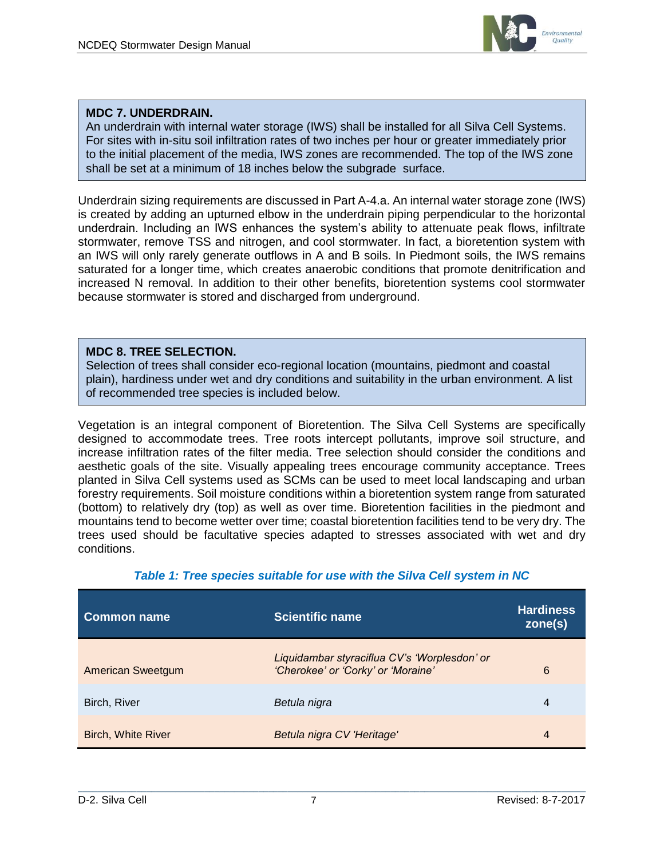

### **MDC 7. UNDERDRAIN.**

An underdrain with internal water storage (IWS) shall be installed for all Silva Cell Systems. For sites with in-situ soil infiltration rates of two inches per hour or greater immediately prior to the initial placement of the media, IWS zones are recommended. The top of the IWS zone shall be set at a minimum of 18 inches below the subgrade surface.

Underdrain sizing requirements are discussed in Part A-4.a. An internal water storage zone (IWS) is created by adding an upturned elbow in the underdrain piping perpendicular to the horizontal underdrain. Including an IWS enhances the system's ability to attenuate peak flows, infiltrate stormwater, remove TSS and nitrogen, and cool stormwater. In fact, a bioretention system with an IWS will only rarely generate outflows in A and B soils. In Piedmont soils, the IWS remains saturated for a longer time, which creates anaerobic conditions that promote denitrification and increased N removal. In addition to their other benefits, bioretention systems cool stormwater because stormwater is stored and discharged from underground.

#### **MDC 8. TREE SELECTION.**

Selection of trees shall consider eco-regional location (mountains, piedmont and coastal plain), hardiness under wet and dry conditions and suitability in the urban environment. A list of recommended tree species is included below.

Vegetation is an integral component of Bioretention. The Silva Cell Systems are specifically designed to accommodate trees. Tree roots intercept pollutants, improve soil structure, and increase infiltration rates of the filter media. Tree selection should consider the conditions and aesthetic goals of the site. Visually appealing trees encourage community acceptance. Trees planted in Silva Cell systems used as SCMs can be used to meet local landscaping and urban forestry requirements. Soil moisture conditions within a bioretention system range from saturated (bottom) to relatively dry (top) as well as over time. Bioretention facilities in the piedmont and mountains tend to become wetter over time; coastal bioretention facilities tend to be very dry. The trees used should be facultative species adapted to stresses associated with wet and dry conditions.

| <b>Common name</b>        | <b>Scientific name</b>                                                             | <b>Hardiness</b><br>zone(s) |
|---------------------------|------------------------------------------------------------------------------------|-----------------------------|
| <b>American Sweetgum</b>  | Liquidambar styraciflua CV's 'Worplesdon' or<br>'Cherokee' or 'Corky' or 'Moraine' | 6                           |
| Birch, River              | Betula nigra                                                                       | 4                           |
| <b>Birch, White River</b> | Betula nigra CV 'Heritage'                                                         | 4                           |

#### *Table 1: Tree species suitable for use with the Silva Cell system in NC*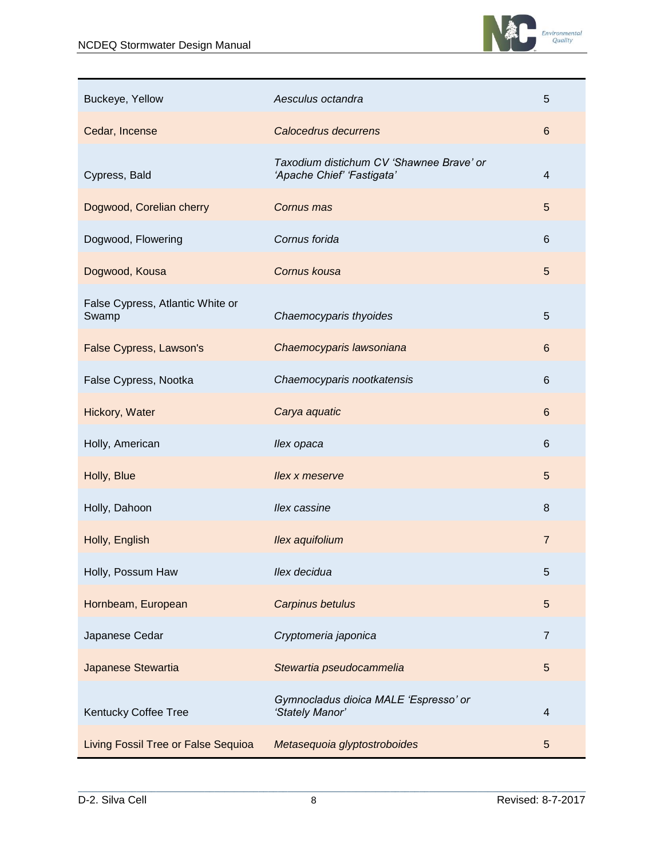

| Buckeye, Yellow                           | Aesculus octandra                                                      | 5              |
|-------------------------------------------|------------------------------------------------------------------------|----------------|
| Cedar, Incense                            | Calocedrus decurrens                                                   | $6\phantom{1}$ |
| Cypress, Bald                             | Taxodium distichum CV 'Shawnee Brave' or<br>'Apache Chief' 'Fastigata' | $\overline{4}$ |
| Dogwood, Corelian cherry                  | Cornus mas                                                             | 5              |
| Dogwood, Flowering                        | Cornus forida                                                          | 6              |
| Dogwood, Kousa                            | Cornus kousa                                                           | 5              |
| False Cypress, Atlantic White or<br>Swamp | Chaemocyparis thyoides                                                 | 5              |
| <b>False Cypress, Lawson's</b>            | Chaemocyparis lawsoniana                                               | 6              |
| False Cypress, Nootka                     | Chaemocyparis nootkatensis                                             | 6              |
| Hickory, Water                            | Carya aquatic                                                          | 6              |
| Holly, American                           | llex opaca                                                             | 6              |
| Holly, Blue                               | llex x meserve                                                         | 5              |
| Holly, Dahoon                             | llex cassine                                                           | 8              |
| Holly, English                            | Ilex aquifolium                                                        | $\overline{7}$ |
| Holly, Possum Haw                         | llex decidua                                                           | 5              |
| Hornbeam, European                        | Carpinus betulus                                                       | 5              |
| Japanese Cedar                            | Cryptomeria japonica                                                   | $\overline{7}$ |
| Japanese Stewartia                        | Stewartia pseudocammelia                                               | 5              |
| Kentucky Coffee Tree                      | Gymnocladus dioica MALE 'Espresso' or<br>'Stately Manor'               | 4              |
| Living Fossil Tree or False Sequioa       | Metasequoia glyptostroboides                                           | 5              |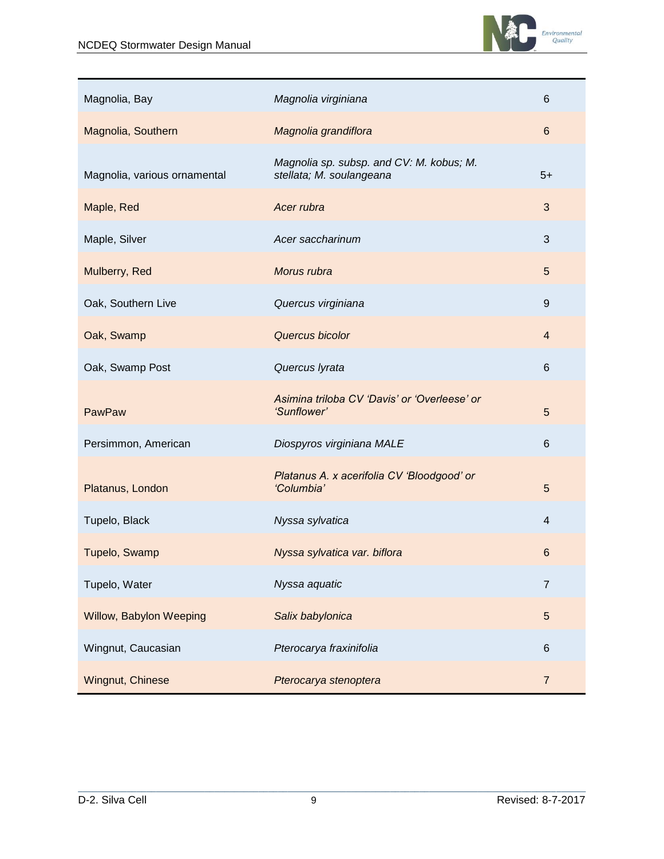

| Magnolia, Bay                | Magnolia virginiana                                                  | 6               |
|------------------------------|----------------------------------------------------------------------|-----------------|
| Magnolia, Southern           | Magnolia grandiflora                                                 | $6\phantom{1}$  |
| Magnolia, various ornamental | Magnolia sp. subsp. and CV: M. kobus; M.<br>stellata; M. soulangeana | $5+$            |
| Maple, Red                   | Acer rubra                                                           | 3               |
| Maple, Silver                | Acer saccharinum                                                     | 3               |
| Mulberry, Red                | Morus rubra                                                          | 5               |
| Oak, Southern Live           | Quercus virginiana                                                   | $9\,$           |
| Oak, Swamp                   | Quercus bicolor                                                      | $\overline{4}$  |
| Oak, Swamp Post              | Quercus lyrata                                                       | $6\phantom{1}6$ |
| PawPaw                       | Asimina triloba CV 'Davis' or 'Overleese' or<br>'Sunflower'          | 5               |
| Persimmon, American          | Diospyros virginiana MALE                                            | $6\phantom{1}6$ |
| Platanus, London             | Platanus A. x acerifolia CV 'Bloodgood' or<br>'Columbia'             | 5               |
| Tupelo, Black                | Nyssa sylvatica                                                      | $\overline{4}$  |
| Tupelo, Swamp                | Nyssa sylvatica var. biflora                                         | $6\phantom{1}6$ |
| Tupelo, Water                | Nyssa aquatic                                                        | $\overline{7}$  |
| Willow, Babylon Weeping      | Salix babylonica                                                     | $\sqrt{5}$      |
| Wingnut, Caucasian           | Pterocarya fraxinifolia                                              | $\,6$           |
| Wingnut, Chinese             | Pterocarya stenoptera                                                | $\overline{7}$  |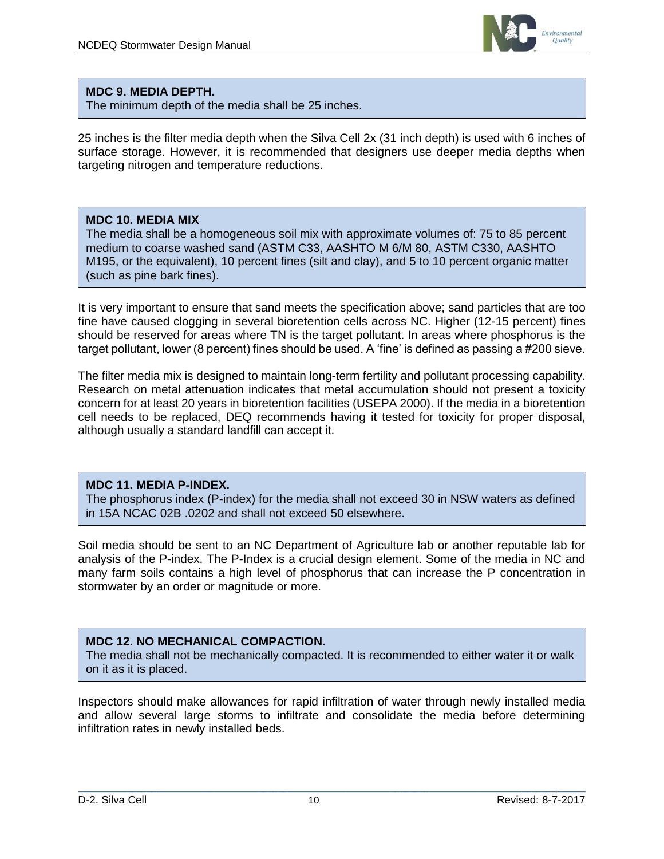

#### **MDC 9. MEDIA DEPTH.**

The minimum depth of the media shall be 25 inches.

25 inches is the filter media depth when the Silva Cell 2x (31 inch depth) is used with 6 inches of surface storage. However, it is recommended that designers use deeper media depths when targeting nitrogen and temperature reductions.

#### **MDC 10. MEDIA MIX**

The media shall be a homogeneous soil mix with approximate volumes of: 75 to 85 percent medium to coarse washed sand (ASTM C33, AASHTO M 6/M 80, ASTM C330, AASHTO M195, or the equivalent), 10 percent fines (silt and clay), and 5 to 10 percent organic matter (such as pine bark fines).

It is very important to ensure that sand meets the specification above; sand particles that are too fine have caused clogging in several bioretention cells across NC. Higher (12-15 percent) fines should be reserved for areas where TN is the target pollutant. In areas where phosphorus is the target pollutant, lower (8 percent) fines should be used. A 'fine' is defined as passing a #200 sieve.

The filter media mix is designed to maintain long-term fertility and pollutant processing capability. Research on metal attenuation indicates that metal accumulation should not present a toxicity concern for at least 20 years in bioretention facilities (USEPA 2000). If the media in a bioretention cell needs to be replaced, DEQ recommends having it tested for toxicity for proper disposal, although usually a standard landfill can accept it.

### **MDC 11. MEDIA P-INDEX.**

The phosphorus index (P-index) for the media shall not exceed 30 in NSW waters as defined in 15A NCAC 02B .0202 and shall not exceed 50 elsewhere.

Soil media should be sent to an NC Department of Agriculture lab or another reputable lab for analysis of the P-index. The P-Index is a crucial design element. Some of the media in NC and many farm soils contains a high level of phosphorus that can increase the P concentration in stormwater by an order or magnitude or more.

## **MDC 12. NO MECHANICAL COMPACTION.**

The media shall not be mechanically compacted. It is recommended to either water it or walk on it as it is placed.

Inspectors should make allowances for rapid infiltration of water through newly installed media and allow several large storms to infiltrate and consolidate the media before determining infiltration rates in newly installed beds.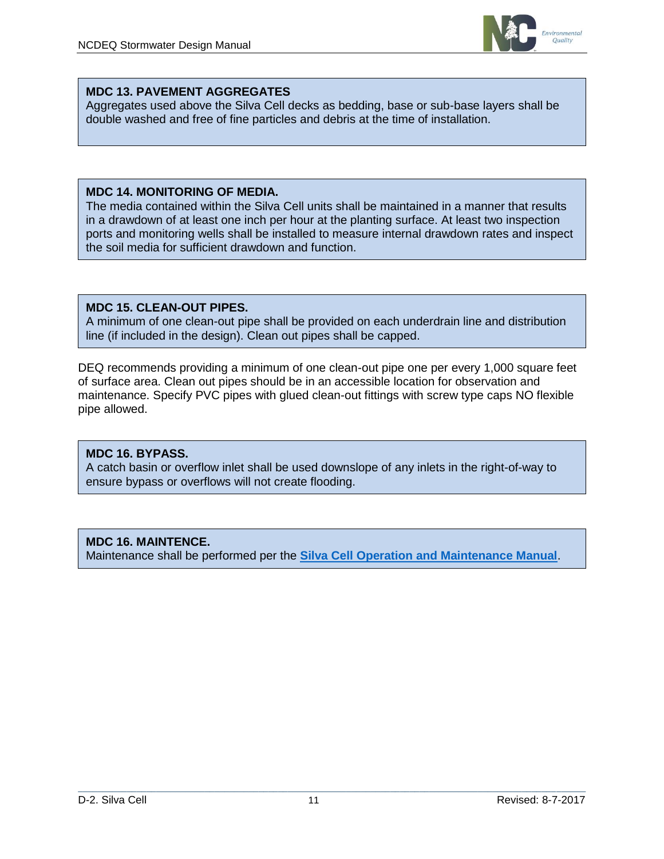

### **MDC 13. PAVEMENT AGGREGATES**

Aggregates used above the Silva Cell decks as bedding, base or sub-base layers shall be double washed and free of fine particles and debris at the time of installation.

#### **MDC 14. MONITORING OF MEDIA.**

The media contained within the Silva Cell units shall be maintained in a manner that results in a drawdown of at least one inch per hour at the planting surface. At least two inspection ports and monitoring wells shall be installed to measure internal drawdown rates and inspect the soil media for sufficient drawdown and function.

#### **MDC 15. CLEAN-OUT PIPES.**

A minimum of one clean-out pipe shall be provided on each underdrain line and distribution line (if included in the design). Clean out pipes shall be capped.

DEQ recommends providing a minimum of one clean-out pipe one per every 1,000 square feet of surface area. Clean out pipes should be in an accessible location for observation and maintenance. Specify PVC pipes with glued clean-out fittings with screw type caps NO flexible pipe allowed.

## **MDC 16. BYPASS.**

A catch basin or overflow inlet shall be used downslope of any inlets in the right-of-way to ensure bypass or overflows will not create flooding.

## **MDC 16. MAINTENCE.**

Maintenance shall be performed per the **[Silva Cell Operation and Maintenance Manual](http://www.deeproot.com/silvapdfs/resources/construction/Silva-Cell-Operations-and-Maintenance-Manual.pdf)**.